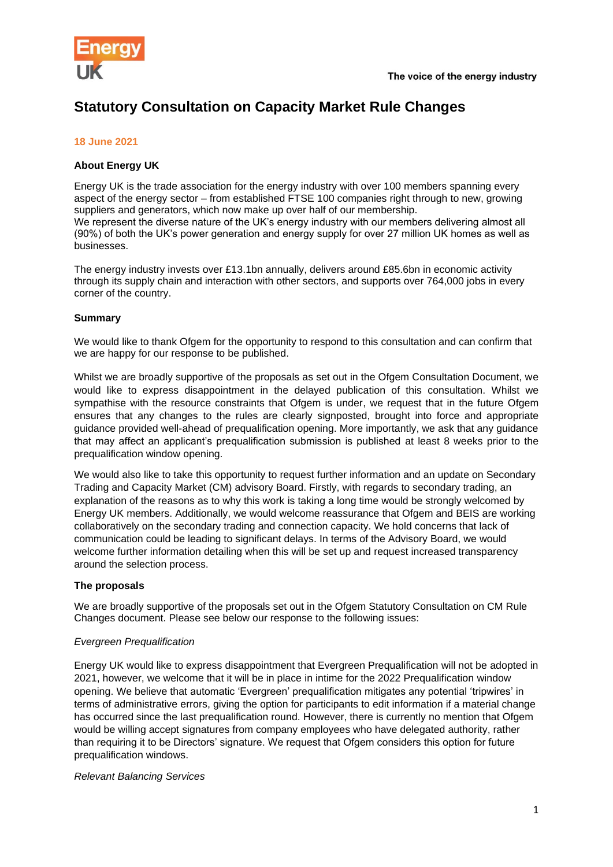

# **Statutory Consultation on Capacity Market Rule Changes**

## **18 June 2021**

### **About Energy UK**

Energy UK is the trade association for the energy industry with over 100 members spanning every aspect of the energy sector – from established FTSE 100 companies right through to new, growing suppliers and generators, which now make up over half of our membership. We represent the diverse nature of the UK's energy industry with our members delivering almost all (90%) of both the UK's power generation and energy supply for over 27 million UK homes as well as businesses.

The energy industry invests over £13.1bn annually, delivers around £85.6bn in economic activity through its supply chain and interaction with other sectors, and supports over 764,000 jobs in every corner of the country.

#### **Summary**

We would like to thank Ofgem for the opportunity to respond to this consultation and can confirm that we are happy for our response to be published.

Whilst we are broadly supportive of the proposals as set out in the Ofgem Consultation Document, we would like to express disappointment in the delayed publication of this consultation. Whilst we sympathise with the resource constraints that Ofgem is under, we request that in the future Ofgem ensures that any changes to the rules are clearly signposted, brought into force and appropriate guidance provided well-ahead of prequalification opening. More importantly, we ask that any guidance that may affect an applicant's prequalification submission is published at least 8 weeks prior to the prequalification window opening.

We would also like to take this opportunity to request further information and an update on Secondary Trading and Capacity Market (CM) advisory Board. Firstly, with regards to secondary trading, an explanation of the reasons as to why this work is taking a long time would be strongly welcomed by Energy UK members. Additionally, we would welcome reassurance that Ofgem and BEIS are working collaboratively on the secondary trading and connection capacity. We hold concerns that lack of communication could be leading to significant delays. In terms of the Advisory Board, we would welcome further information detailing when this will be set up and request increased transparency around the selection process.

#### **The proposals**

We are broadly supportive of the proposals set out in the Ofgem Statutory Consultation on CM Rule Changes document. Please see below our response to the following issues:

#### *Evergreen Prequalification*

Energy UK would like to express disappointment that Evergreen Prequalification will not be adopted in 2021, however, we welcome that it will be in place in intime for the 2022 Prequalification window opening. We believe that automatic 'Evergreen' prequalification mitigates any potential 'tripwires' in terms of administrative errors, giving the option for participants to edit information if a material change has occurred since the last prequalification round. However, there is currently no mention that Ofgem would be willing accept signatures from company employees who have delegated authority, rather than requiring it to be Directors' signature. We request that Ofgem considers this option for future prequalification windows.

#### *Relevant Balancing Services*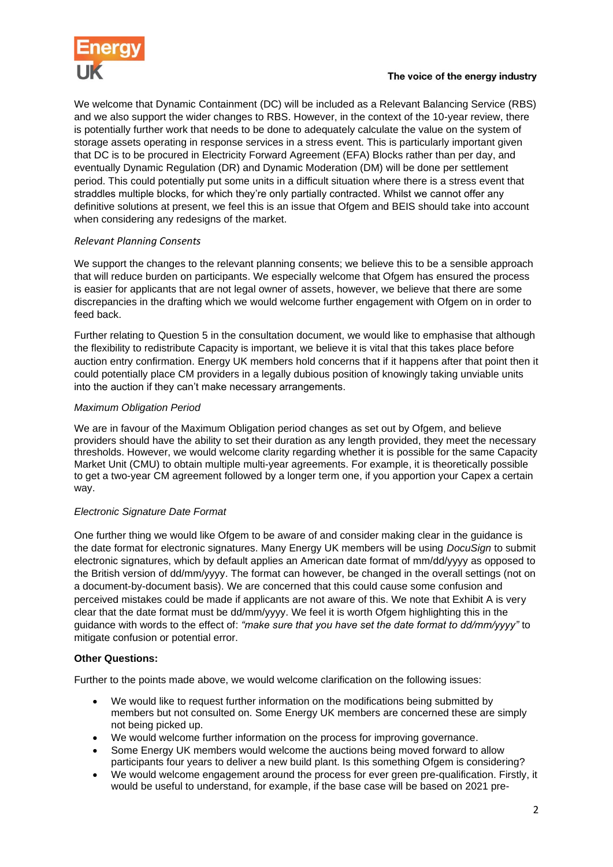

#### The voice of the energy industry

We welcome that Dynamic Containment (DC) will be included as a Relevant Balancing Service (RBS) and we also support the wider changes to RBS. However, in the context of the 10-year review, there is potentially further work that needs to be done to adequately calculate the value on the system of storage assets operating in response services in a stress event. This is particularly important given that DC is to be procured in Electricity Forward Agreement (EFA) Blocks rather than per day, and eventually Dynamic Regulation (DR) and Dynamic Moderation (DM) will be done per settlement period. This could potentially put some units in a difficult situation where there is a stress event that straddles multiple blocks, for which they're only partially contracted. Whilst we cannot offer any definitive solutions at present, we feel this is an issue that Ofgem and BEIS should take into account when considering any redesigns of the market.

# *Relevant Planning Consents*

We support the changes to the relevant planning consents; we believe this to be a sensible approach that will reduce burden on participants. We especially welcome that Ofgem has ensured the process is easier for applicants that are not legal owner of assets, however, we believe that there are some discrepancies in the drafting which we would welcome further engagement with Ofgem on in order to feed back.

Further relating to Question 5 in the consultation document, we would like to emphasise that although the flexibility to redistribute Capacity is important, we believe it is vital that this takes place before auction entry confirmation. Energy UK members hold concerns that if it happens after that point then it could potentially place CM providers in a legally dubious position of knowingly taking unviable units into the auction if they can't make necessary arrangements.

# *Maximum Obligation Period*

We are in favour of the Maximum Obligation period changes as set out by Ofgem, and believe providers should have the ability to set their duration as any length provided, they meet the necessary thresholds. However, we would welcome clarity regarding whether it is possible for the same Capacity Market Unit (CMU) to obtain multiple multi-year agreements. For example, it is theoretically possible to get a two-year CM agreement followed by a longer term one, if you apportion your Capex a certain way.

# *Electronic Signature Date Format*

One further thing we would like Ofgem to be aware of and consider making clear in the guidance is the date format for electronic signatures. Many Energy UK members will be using *DocuSign* to submit electronic signatures, which by default applies an American date format of mm/dd/yyyy as opposed to the British version of dd/mm/yyyy. The format can however, be changed in the overall settings (not on a document-by-document basis). We are concerned that this could cause some confusion and perceived mistakes could be made if applicants are not aware of this. We note that Exhibit A is very clear that the date format must be dd/mm/yyyy. We feel it is worth Ofgem highlighting this in the guidance with words to the effect of: *"make sure that you have set the date format to dd/mm/yyyy"* to mitigate confusion or potential error.

# **Other Questions:**

Further to the points made above, we would welcome clarification on the following issues:

- We would like to request further information on the modifications being submitted by members but not consulted on. Some Energy UK members are concerned these are simply not being picked up.
- We would welcome further information on the process for improving governance.
- Some Energy UK members would welcome the auctions being moved forward to allow participants four years to deliver a new build plant. Is this something Ofgem is considering?
- We would welcome engagement around the process for ever green pre-qualification. Firstly, it would be useful to understand, for example, if the base case will be based on 2021 pre-